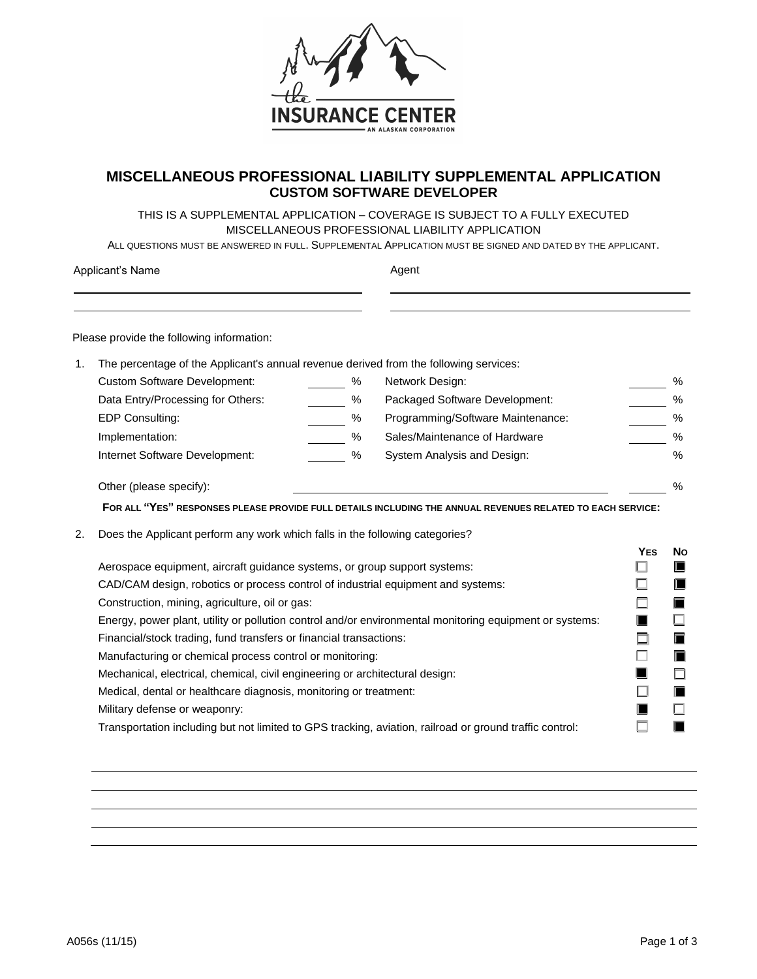

## **MISCELLANEOUS PROFESSIONAL LIABILITY SUPPLEMENTAL APPLICATION CUSTOM SOFTWARE DEVELOPER**

THIS IS A SUPPLEMENTAL APPLICATION – COVERAGE IS SUBJECT TO A FULLY EXECUTED MISCELLANEOUS PROFESSIONAL LIABILITY APPLICATION

ALL QUESTIONS MUST BE ANSWERED IN FULL. SUPPLEMENTAL APPLICATION MUST BE SIGNED AND DATED BY THE APPLICANT.

| Applicant's Name |                                                                                                         |      | Agent                                                                                                      |            |               |  |  |
|------------------|---------------------------------------------------------------------------------------------------------|------|------------------------------------------------------------------------------------------------------------|------------|---------------|--|--|
|                  | Please provide the following information:                                                               |      |                                                                                                            |            |               |  |  |
| 1.               | The percentage of the Applicant's annual revenue derived from the following services:                   |      |                                                                                                            |            |               |  |  |
|                  | <b>Custom Software Development:</b>                                                                     | %    | Network Design:                                                                                            |            | %             |  |  |
|                  | Data Entry/Processing for Others:                                                                       | %    | Packaged Software Development:                                                                             |            | $\%$          |  |  |
|                  | EDP Consulting:                                                                                         | %    | Programming/Software Maintenance:                                                                          |            | $\%$          |  |  |
|                  | Implementation:                                                                                         | %    | Sales/Maintenance of Hardware                                                                              |            | $\%$          |  |  |
|                  | Internet Software Development:                                                                          | $\%$ | System Analysis and Design:                                                                                |            | $\frac{0}{0}$ |  |  |
|                  | Other (please specify):                                                                                 |      |                                                                                                            |            | $\frac{0}{0}$ |  |  |
|                  |                                                                                                         |      | FOR ALL "YES" RESPONSES PLEASE PROVIDE FULL DETAILS INCLUDING THE ANNUAL REVENUES RELATED TO EACH SERVICE: |            |               |  |  |
| 2.               | Does the Applicant perform any work which falls in the following categories?                            |      |                                                                                                            |            |               |  |  |
|                  |                                                                                                         |      |                                                                                                            | <b>YES</b> | <b>No</b>     |  |  |
|                  | Aerospace equipment, aircraft guidance systems, or group support systems:                               |      |                                                                                                            |            | ш             |  |  |
|                  | CAD/CAM design, robotics or process control of industrial equipment and systems:                        |      |                                                                                                            |            |               |  |  |
|                  | Construction, mining, agriculture, oil or gas:                                                          |      |                                                                                                            |            |               |  |  |
|                  | Energy, power plant, utility or pollution control and/or environmental monitoring equipment or systems: |      |                                                                                                            |            |               |  |  |
|                  | Financial/stock trading, fund transfers or financial transactions:                                      |      |                                                                                                            |            |               |  |  |
|                  | Manufacturing or chemical process control or monitoring:                                                |      |                                                                                                            |            |               |  |  |
|                  | Mechanical, electrical, chemical, civil engineering or architectural design:                            |      |                                                                                                            |            |               |  |  |
|                  | Medical, dental or healthcare diagnosis, monitoring or treatment:                                       |      |                                                                                                            |            |               |  |  |
|                  | Military defense or weaponry:                                                                           |      |                                                                                                            |            |               |  |  |
|                  | Transportation including but not limited to GPS tracking, aviation, railroad or ground traffic control: |      |                                                                                                            |            |               |  |  |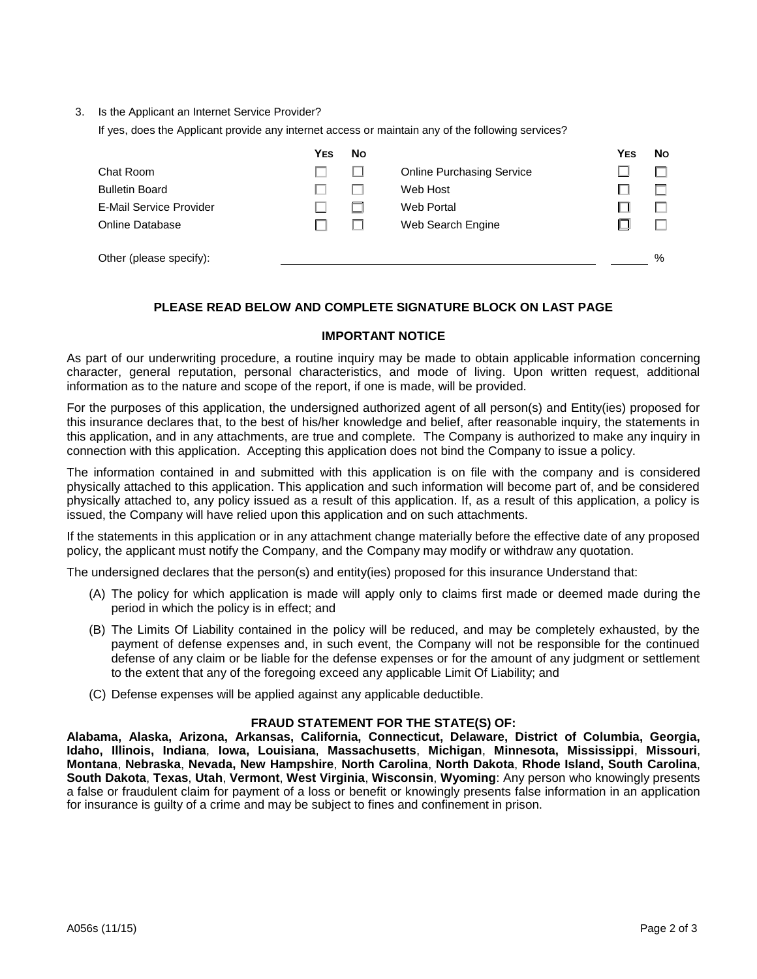3. Is the Applicant an Internet Service Provider?

If yes, does the Applicant provide any internet access or maintain any of the following services?

|                                | <b>YES</b> | <b>No</b> |                                  | <b>YES</b> | No.  |
|--------------------------------|------------|-----------|----------------------------------|------------|------|
| Chat Room                      |            |           | <b>Online Purchasing Service</b> |            |      |
| <b>Bulletin Board</b>          |            |           | Web Host                         |            |      |
| <b>E-Mail Service Provider</b> |            |           | Web Portal                       |            |      |
| Online Database                |            |           | Web Search Engine                |            |      |
| Other (please specify):        |            |           |                                  |            | $\%$ |

## **PLEASE READ BELOW AND COMPLETE SIGNATURE BLOCK ON LAST PAGE**

## **IMPORTANT NOTICE**

As part of our underwriting procedure, a routine inquiry may be made to obtain applicable information concerning character, general reputation, personal characteristics, and mode of living. Upon written request, additional information as to the nature and scope of the report, if one is made, will be provided.

For the purposes of this application, the undersigned authorized agent of all person(s) and Entity(ies) proposed for this insurance declares that, to the best of his/her knowledge and belief, after reasonable inquiry, the statements in this application, and in any attachments, are true and complete. The Company is authorized to make any inquiry in connection with this application. Accepting this application does not bind the Company to issue a policy.

The information contained in and submitted with this application is on file with the company and is considered physically attached to this application. This application and such information will become part of, and be considered physically attached to, any policy issued as a result of this application. If, as a result of this application, a policy is issued, the Company will have relied upon this application and on such attachments.

If the statements in this application or in any attachment change materially before the effective date of any proposed policy, the applicant must notify the Company, and the Company may modify or withdraw any quotation.

The undersigned declares that the person(s) and entity(ies) proposed for this insurance Understand that:

- (A) The policy for which application is made will apply only to claims first made or deemed made during the period in which the policy is in effect; and
- (B) The Limits Of Liability contained in the policy will be reduced, and may be completely exhausted, by the payment of defense expenses and, in such event, the Company will not be responsible for the continued defense of any claim or be liable for the defense expenses or for the amount of any judgment or settlement to the extent that any of the foregoing exceed any applicable Limit Of Liability; and
- (C) Defense expenses will be applied against any applicable deductible.

## **FRAUD STATEMENT FOR THE STATE(S) OF:**

**Alabama, Alaska, Arizona, Arkansas, California, Connecticut, Delaware, District of Columbia, Georgia, Idaho, Illinois, Indiana**, **Iowa, Louisiana**, **Massachusetts**, **Michigan**, **Minnesota, Mississippi**, **Missouri**, **Montana**, **Nebraska**, **Nevada, New Hampshire**, **North Carolina**, **North Dakota**, **Rhode Island, South Carolina**, **South Dakota**, **Texas**, **Utah**, **Vermont**, **West Virginia**, **Wisconsin**, **Wyoming**: Any person who knowingly presents a false or fraudulent claim for payment of a loss or benefit or knowingly presents false information in an application for insurance is guilty of a crime and may be subject to fines and confinement in prison.